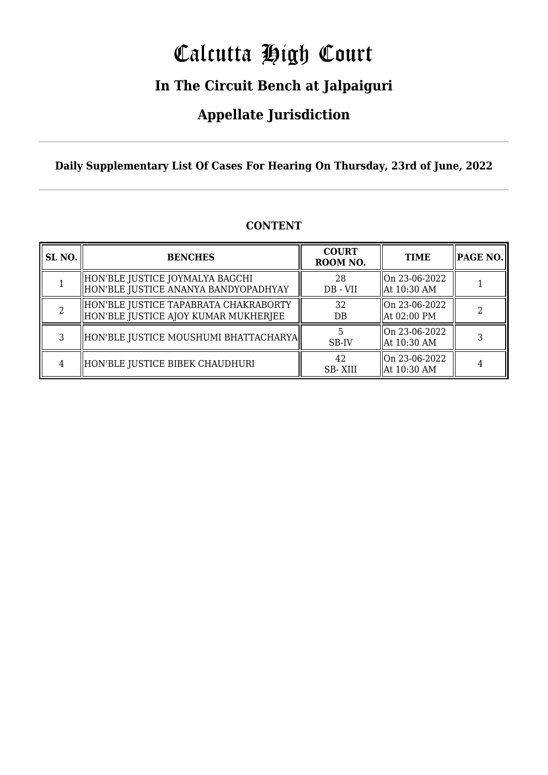# Calcutta High Court

## **In The Circuit Bench at Jalpaiguri**

## **Appellate Jurisdiction**

**Daily Supplementary List Of Cases For Hearing On Thursday, 23rd of June, 2022**

| SL <sub>NO.</sub> | <b>BENCHES</b>                                                                | <b>COURT</b><br>ROOM NO. | <b>TIME</b>                    | $\parallel$ PAGE NO. $\parallel$ |
|-------------------|-------------------------------------------------------------------------------|--------------------------|--------------------------------|----------------------------------|
|                   | HON'BLE JUSTICE JOYMALYA BAGCHI<br>HON'BLE JUSTICE ANANYA BANDYOPADHYAY       | 28<br>DB - VII           | On 23-06-2022<br>  At 10:30 AM |                                  |
|                   | HON'BLE JUSTICE TAPABRATA CHAKRABORTY<br>HON'BLE JUSTICE AJOY KUMAR MUKHERJEE | 32<br>DB                 | On 23-06-2022<br>  At 02:00 PM |                                  |
|                   | HON'BLE JUSTICE MOUSHUMI BHATTACHARYA                                         | SB-IV                    | On 23-06-2022<br>  At 10:30 AM |                                  |
|                   | HON'BLE JUSTICE BIBEK CHAUDHURI                                               | 42<br><b>SB-XIII</b>     | On 23-06-2022<br>  At 10:30 AM |                                  |

## **CONTENT**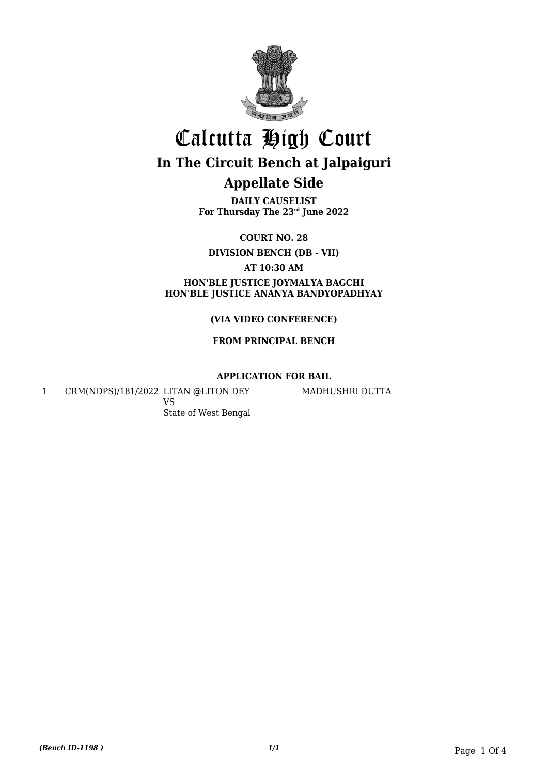

## Calcutta High Court **In The Circuit Bench at Jalpaiguri Appellate Side**

**DAILY CAUSELIST For Thursday The 23rd June 2022**

**COURT NO. 28**

**DIVISION BENCH (DB - VII)**

**AT 10:30 AM**

**HON'BLE JUSTICE JOYMALYA BAGCHI HON'BLE JUSTICE ANANYA BANDYOPADHYAY**

## **(VIA VIDEO CONFERENCE)**

## **FROM PRINCIPAL BENCH**

## **APPLICATION FOR BAIL**

1 CRM(NDPS)/181/2022 LITAN @LITON DEY VS State of West Bengal

MADHUSHRI DUTTA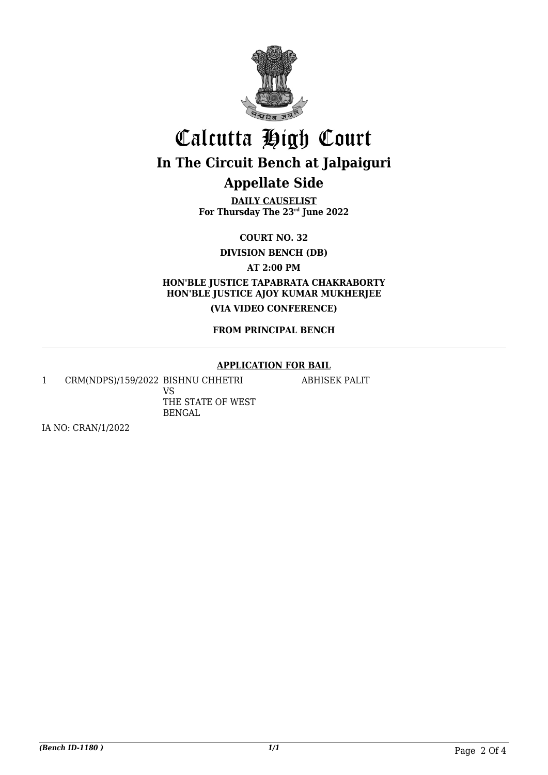

# Calcutta High Court **In The Circuit Bench at Jalpaiguri**

## **Appellate Side**

**DAILY CAUSELIST For Thursday The 23rd June 2022**

**COURT NO. 32**

**DIVISION BENCH (DB)**

**AT 2:00 PM**

**HON'BLE JUSTICE TAPABRATA CHAKRABORTY HON'BLE JUSTICE AJOY KUMAR MUKHERJEE (VIA VIDEO CONFERENCE)**

## **FROM PRINCIPAL BENCH**

## **APPLICATION FOR BAIL**

1 CRM(NDPS)/159/2022 BISHNU CHHETRI VS THE STATE OF WEST BENGAL

ABHISEK PALIT

IA NO: CRAN/1/2022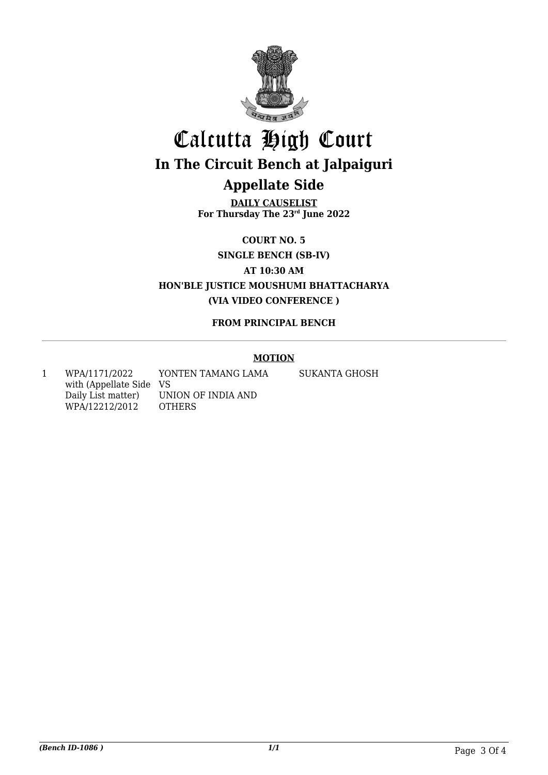

## Calcutta High Court **In The Circuit Bench at Jalpaiguri Appellate Side**

**DAILY CAUSELIST For Thursday The 23rd June 2022**

**COURT NO. 5**

**SINGLE BENCH (SB-IV)**

**AT 10:30 AM**

**HON'BLE JUSTICE MOUSHUMI BHATTACHARYA (VIA VIDEO CONFERENCE )**

## **FROM PRINCIPAL BENCH**

## **MOTION**

1 WPA/1171/2022 with (Appellate Side VS Daily List matter) WPA/12212/2012

UNION OF INDIA AND **OTHERS** 

YONTEN TAMANG LAMA

SUKANTA GHOSH